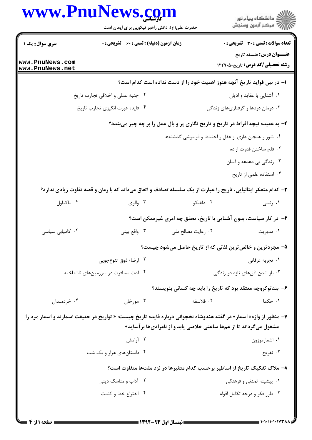|                                    | www.PnuNews.com<br>حضرت علی(ع): دانش راهبر نیکویی برای ایمان است                                                   |                                                                                 | ِ<br>∭ دانشڪاه پيام نور<br>∭ مرڪز آزمون وسنڊش                             |  |
|------------------------------------|--------------------------------------------------------------------------------------------------------------------|---------------------------------------------------------------------------------|---------------------------------------------------------------------------|--|
| سری سوال: یک ۱                     | <b>زمان آزمون (دقیقه) : تستی : 60 ٪ تشریحی : 0</b>                                                                 |                                                                                 | <b>تعداد سوالات : تستی : 30 ٪ تشریحی : 0</b>                              |  |
| www.PnuNews.com<br>www.PnuNews.net |                                                                                                                    |                                                                                 | <b>عنـــوان درس:</b> فلسفه تاریخ<br><b>رشته تحصیلی/کد درس:</b> تاریخ40121 |  |
|                                    |                                                                                                                    | ا– در بین فواید تاریخ آنچه هنوز اهمیت خود را از دست نداده است کدام است؟         |                                                                           |  |
|                                    | ۰۲ جنبه عملی و اخلاقی تجارب تاریخ                                                                                  |                                                                                 | ٠١ آشنايي با عقايد و اديان                                                |  |
|                                    | ۰۴ فایده عبرت انگیزی تجارب تاریخ                                                                                   |                                                                                 | ۰۳ درمان دردها و گرفتاریهای زندگی                                         |  |
|                                    |                                                                                                                    | ۲- به عقیده نیچه افراط در تاریخ و تاریخ نگاری پر و بال عمل را بر چه چیز میبندد؟ |                                                                           |  |
|                                    |                                                                                                                    | ۰۱ شور و هیجان عاری از عقل و احتیاط و فراموشی گذشتهها                           |                                                                           |  |
|                                    |                                                                                                                    |                                                                                 | ۰۲ فلج ساختن قدرت اراده                                                   |  |
|                                    |                                                                                                                    |                                                                                 | ۰۳ زندگی بی دغدغه و آسان                                                  |  |
|                                    |                                                                                                                    |                                                                                 | ۰۴ استفاده علمی از تاریخ                                                  |  |
|                                    | ۳- کدام متفکر ایتالیایی، تاریخ را عبارت از یک سلسله تصادف و اتفاق میداند که با رمان و قصه تفاوت زیادی ندارد؟       |                                                                                 |                                                                           |  |
| ۰۴ ماكياول                         | ۰۳ والري                                                                                                           | ۰۲ دلفیکو                                                                       | ۰۱ رنسی                                                                   |  |
|                                    |                                                                                                                    | ۴– در کار سیاست، بدون آشنایی با تاریخ، تحقق چه امری غیرممکن است؟                |                                                                           |  |
| ۰۴ کامیابی سیاسی                   | ۰۳ واقع بيني                                                                                                       | ۰۲ رعایت مصالح ملی                                                              | ۰۱ مدیریت                                                                 |  |
|                                    |                                                                                                                    | ۵- مجردترین و خالص ترین لذتی که از تاریخ حاصل میشود چیست؟                       |                                                                           |  |
|                                    | ۰۲ ارضاء ذوق تنوعجويي                                                                                              |                                                                                 | ۰۱ تجربه عرفانی                                                           |  |
|                                    | ۰۴ لذت مسافرت در سرزمینهای ناشناخته                                                                                |                                                                                 | ۰۳ باز شدن افقهای تازه در زندگی                                           |  |
|                                    |                                                                                                                    | ۶- بندتوکروچه معتقد بود که تاریخ را باید چه کسانی بنویسند؟                      |                                                                           |  |
| ۰۴ خردمندان                        | ۰۳ مورخان                                                                                                          | ٢. فلاسفه                                                                       | ٠١ حكما                                                                   |  |
|                                    | ۷- منظور از واژه« اسمار» در گفته هندوشاه نخجوانی درباره فایده تاریخ چیست: « تواریخ در حقیقت اسمارند و اسمار مرد را | مشغول میگرداند تا از غمها ساعتی خلاصی یابد و از نامرادیها برآساید»              |                                                                           |  |
|                                    | ۰۲ آرامش                                                                                                           |                                                                                 | ۰۱ اشعارموزون                                                             |  |
|                                    | ۰۴ داستانهای هزار و یک شب                                                                                          |                                                                                 | ۰۳ تفریح                                                                  |  |
|                                    |                                                                                                                    | ۸– ملاک تفکیک تاریخ از اساطیر برحسب کدام متغیرها در نزد ملتها متفاوت است؟       |                                                                           |  |
|                                    | ۰۲ آداب و مناسک دینی                                                                                               |                                                                                 | ۰۱ پیشینه تمدنی و فرهنگی                                                  |  |
|                                    | ۰۴ اختراع خط و کتابت                                                                                               |                                                                                 | ۰۳ طرز فکر و درجه تکامل اقوام                                             |  |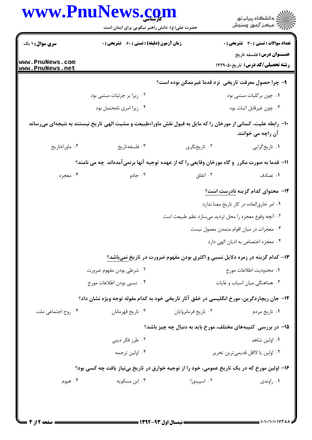|                            | حضرت علی(ع): دانش راهبر نیکویی برای ایمان است                                                                  |                                                                              | ڪ دانشڪاه پيام نور<br>ر∕ آرمون وسنڊش                                  |
|----------------------------|----------------------------------------------------------------------------------------------------------------|------------------------------------------------------------------------------|-----------------------------------------------------------------------|
| <b>سری سوال : ۱ یک</b>     | زمان آزمون (دقیقه) : تستی : 60 ٪ تشریحی : 0                                                                    |                                                                              | تعداد سوالات : تستي : 30 - تشريحي : 0                                 |
| www.PnuNews.com            |                                                                                                                |                                                                              | <b>عنـــوان درس:</b> فلسفه تاریخ<br>رشته تحصیلی/کد درس: تاریخ ۱۲۲۹۰۵۰ |
| www.PnuNews.net            |                                                                                                                | ۹- چرا حصول معرفت تاریخی ًنزد قدما غیرممکن بوده است؟                         |                                                                       |
|                            | ۰۲ زیرا بر جزئیات مبتنی بود                                                                                    |                                                                              | ٠١. چون بركليات مبتنى بود                                             |
|                            | ۰۴ زیرا امری نامحتمل بود                                                                                       |                                                                              | ۰۳ چون غیرقابل اثبات بود                                              |
|                            | ∙۱− رابطه علیت، کسانی از مورخان را که مایل به قبول نقش ماوراءطبیعت و مشیت الهی تاریخ نیستند به نتیجهای میرساند |                                                                              |                                                                       |
|                            |                                                                                                                |                                                                              | آن راچه می خوانند.                                                    |
| ۰۴ ماوراءتاريخ             | ۰۳ فلسفهتاريخ                                                                                                  | ۰۲ تاریخنگری                                                                 | ٠١ تاريخ گرايي                                                        |
|                            | 11- قدما به صورت مکرر ۖ و گاه مورخان وقایعی را که از عهده توجیه آنها برنمیآمدهاند ۖ چه می نامند؟               |                                                                              |                                                                       |
| ۰۴ معجزه                   | ۰۳ جادو                                                                                                        | ۰۲ اتفاق                                                                     | ۰۱ تصادف                                                              |
|                            |                                                                                                                |                                                                              | ۱۲– محتوای کدام گزینه <u>نادرست است؟</u>                              |
|                            |                                                                                                                |                                                                              | ٠١ امر خارق العاده در كار تاريخ معنا ندارد                            |
|                            |                                                                                                                | ۰۲ آنچه وقوع معجزه را محل تردید میسازد نظم طبیعت است                         |                                                                       |
|                            |                                                                                                                |                                                                              | ۰۳ معجزات در میان اقوام متمدن معمول نیست                              |
|                            |                                                                                                                |                                                                              | ۰۴ معجزه اختصاص به ادیان الهی دارد                                    |
|                            |                                                                                                                | ۱۳- کدام گزینه در زمره دلایل نسبی و اکثری بودن مفهوم ضرورت در تاریخ نمیباشد؟ |                                                                       |
|                            | ۰۲ شرطی بودن مفهوم ضرورت                                                                                       |                                                                              | ٠١. محدوديت اطلاعات مورخ                                              |
|                            | ۰۴ نسبی بودن اطلاعات مورخ                                                                                      |                                                                              | ۰۳ هماهنگی میان اسباب و غایات                                         |
|                            | ۱۴– جان ریچاردگرین، مورخ انگلیسی در خلق آثار تاریخی خود به کدام مقوله توجه ویژه نشان داد؟                      |                                                                              |                                                                       |
| ۰۴ روح اجتما <i>عی</i> ملت | ۰۳ تاريخ قهرمانان                                                                                              | ٠٢ تاريخ فرمانروايان                                                         | ۰۱ تاريخ مردم                                                         |
|                            | ۱۵– در بررسی کتیبههای مختلف، مورخ باید به دنبال چه چیز باشد؟                                                   |                                                                              |                                                                       |
|                            | ۰۲ طرز فکر دینی                                                                                                |                                                                              | ۰۱ اولین شاهد                                                         |
|                            | ۰۴ اولین ترجمه                                                                                                 |                                                                              | ٠٣ اولين يا لااقل قديميترين تحرير                                     |
|                            | ۱۶– اولین مورخ که در یک تاریخ عمومی، خود را از توجیه خوارق در تاریخ بینیاز یافت چه کسی بود؟                    |                                                                              |                                                                       |
| ۰۴ هيوم                    | ۰۳ ابن مسکویه                                                                                                  | ۰۲ اسپینوزا                                                                  | ۰۱ راوندی                                                             |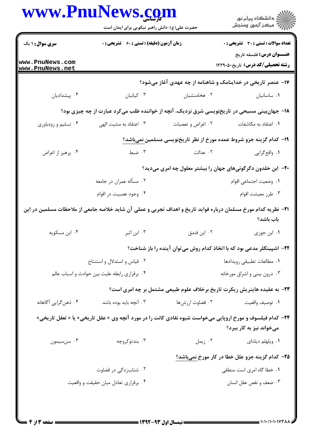| www.PnuNews.com                    | حضرت علی(ع): دانش راهبر نیکویی برای ایمان است                       |                              | ر<br>دانشڪاه پيام نور)<br>اڳ مرڪز آزمون وسنڊش                                                                                                 |  |
|------------------------------------|---------------------------------------------------------------------|------------------------------|-----------------------------------------------------------------------------------------------------------------------------------------------|--|
| <b>سری سوال :</b> ۱ یک             | <b>زمان آزمون (دقیقه) : تستی : 60 ٪ تشریحی : 0</b>                  |                              | <b>تعداد سوالات : تستی : 30 ٪ تشریحی : 0</b>                                                                                                  |  |
| www.PnuNews.com<br>www.PnuNews.net |                                                                     |                              | <b>عنـــوان درس:</b> فلسفه تاريخ<br>رشته تحصیلی/کد درس: تاریخ۵۰+۱۲۲۹                                                                          |  |
|                                    |                                                                     |                              | ۱۷- عنصر تاریخی در خداینامک و شاهنامه از چه عهدی آغاز میشود؟                                                                                  |  |
| ۰۴ پیشدادیان                       | ۰۳ کیانیان                                                          | ۰۲ هخامنشیان                 | ٠١ ساسانيان                                                                                                                                   |  |
|                                    |                                                                     |                              | ۱۸– جهانبینی مسیحی در تاریخنویسی شرق نزدیک، آنچه از خواننده طلب میکرد عبارت از چه چیزی بود؟                                                   |  |
| ۰۴ تسلیم و زودباوری                | ۰۳ اعتقاد به مشیت الهی                                              | ۰۲ اغراض و تعصبات            | ٠١. اعتقاد به مكاشفات                                                                                                                         |  |
|                                    |                                                                     |                              | ۱۹- کدام گزینه جزو شروط عمده مورخ از نظر تاریخنویسی مسلمین نمیباشد؟                                                                           |  |
| ۰۴ پرهيز از اغراض                  | . $\mathsf{r}$ فببط                                                 | ۲. عدالت                     | ٠١. واقع گرايي                                                                                                                                |  |
|                                    | <b>۳۰</b> - ابن خلدون دگرگونیهای جهان را بیشتر معلول چه امری میدید؟ |                              |                                                                                                                                               |  |
|                                    | ۰۲ مسأله عمران در جامعه                                             |                              | ٠١. وضعيت اجتماعي اقوام                                                                                                                       |  |
|                                    | ۰۴ وجود عصبيت در اقوام                                              |                              | ۰۳ طرز معيشت اقوام                                                                                                                            |  |
|                                    |                                                                     |                              | <b>۲۱</b> – نظریه کدام مورخ مسلمان درباره فواید تاریخ و اهداف تجربی و عملی آن شاید خلاصه جامعی از ملاحظات مسلمین در این<br>باب باشد؟          |  |
| ۰۴ ابن مسکویه                      | ۰۳ ابن اثیر                                                         | ۰۲ ابن فندق                  | ٠١ ابن جوزي                                                                                                                                   |  |
|                                    |                                                                     |                              | ۲۲- اشپینگلر مدعی بود که با اتخاذ کدام روش می توان آینده را باز شناخت؟                                                                        |  |
|                                    | ۰۲ قیاس و استدلال و استنتاج                                         | ٠١. مطالعات تطبيقي رويدادها  |                                                                                                                                               |  |
|                                    | ۰۴ برقراری رابطه علیت بین حوادث و اسباب عالم                        | ۰۳ درون بینی و اشراق مورخانه |                                                                                                                                               |  |
|                                    |                                                                     |                              | ۲۳- به عقیده هاینریش ریکرت تاریخ برخلاف علوم طبیعی مشتمل بر چه امری است؟                                                                      |  |
| ۰۴ ذهن گرایی آگاهانه               | ۰۳ آنچه باید بوده باشد                                              | ۰۲ قضاوت ارزشها              | ٠١ توصيف واقعيت                                                                                                                               |  |
|                                    |                                                                     |                              | <b>۲۴</b> - کدام فیلسوف و مورخ اروپایی میخواست شیوه نقادی کانت را در مورد آنچه وی « عقل تاریخی» یا « تعقل تاریخی»<br>میخواند نیز به کار ببرد؟ |  |
| ۰۴ سنسيمون                         | ۰۳ بندتوکروچه                                                       | ۰۲ زیمل                      | ۰۱ ویلهلم دیلتای                                                                                                                              |  |
|                                    |                                                                     |                              | ۲۵- کدام گزینه جزو علل خطا در کار مورخ نمیباشد؟                                                                                               |  |
|                                    | ۰۲ شتابزدگی در قضاوت                                                |                              | ۰۱ خطا گاه امری است منطقی                                                                                                                     |  |
|                                    | ۰۴ برقراري تعادل ميان حقيقت و واقعيت                                |                              | ۰۳ ضعف و نقص عقل انسان                                                                                                                        |  |